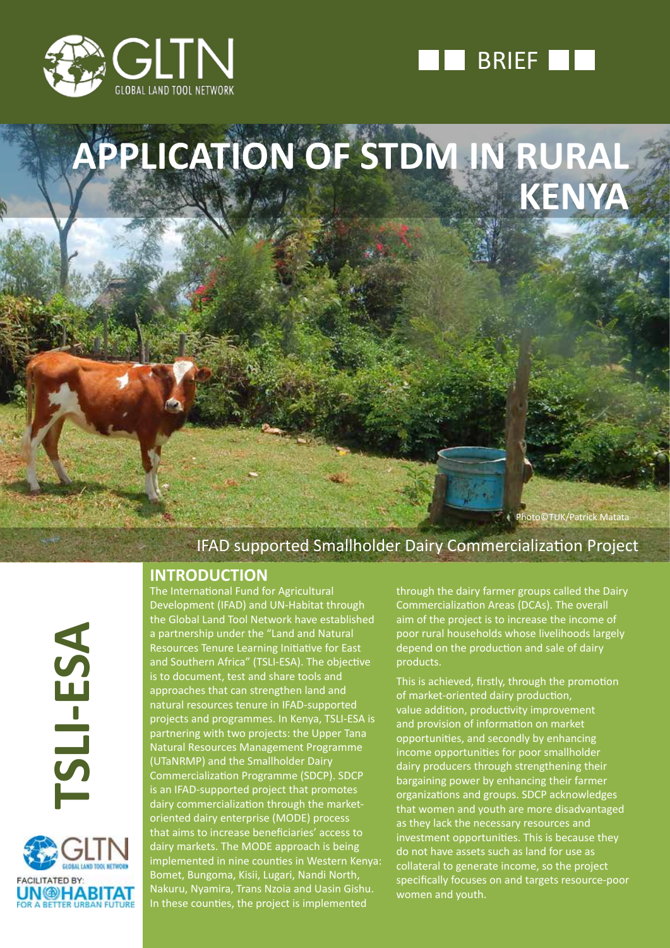



**APPLICATION OF STDM IN RURAL KENYA**

**Photo©TUK/Patrick Matata** 

## IFAD supported Smallholder Dairy Commercialization Project

### **INTRODUCTION**

**TSLI-ESA** TSLI-ESA



The International Fund for Agricultural Development (IFAD) and UN-Habitat through the Global Land Tool Network have established a partnership under the "Land and Natural Resources Tenure Learning Initiative for East and Southern Africa" (TSLI-ESA). The objective is to document, test and share tools and approaches that can strengthen land and natural resources tenure in IFAD-supported projects and programmes. In Kenya, TSLI-ESA is partnering with two projects: the Upper Tana Natural Resources Management Programme (UTaNRMP) and the Smallholder Dairy Commercialization Programme (SDCP). SDCP is an IFAD-supported project that promotes dairy commercialization through the marketoriented dairy enterprise (MODE) process that aims to increase beneficiaries' access to dairy markets. The MODE approach is being implemented in nine counties in Western Kenya: Bomet, Bungoma, Kisii, Lugari, Nandi North, Nakuru, Nyamira, Trans Nzoia and Uasin Gishu. In these counties, the project is implemented

through the dairy farmer groups called the Dairy Commercialization Areas (DCAs). The overall aim of the project is to increase the income of poor rural households whose livelihoods largely depend on the production and sale of dairy products.

This is achieved, firstly, through the promotion of market-oriented dairy production, value addition, productivity improvement and provision of information on market opportunities, and secondly by enhancing income opportunities for poor smallholder dairy producers through strengthening their bargaining power by enhancing their farmer organizations and groups. SDCP acknowledges that women and youth are more disadvantaged as they lack the necessary resources and investment opportunities. This is because they do not have assets such as land for use as collateral to generate income, so the project specifically focuses on and targets resource-poor women and youth.